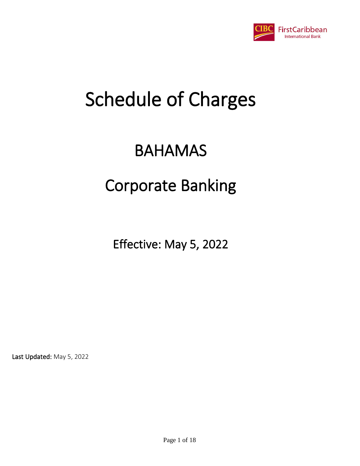

## BAHAMAS

## Corporate Banking

Effective: May 5, 2022

Last Updated: May 5, 2022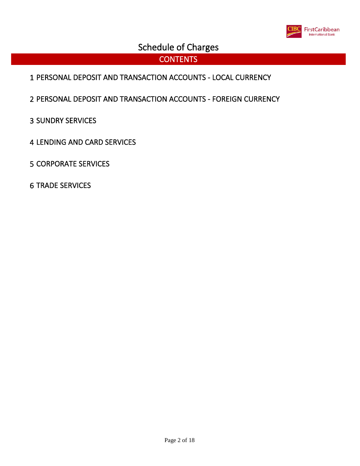

#### **CONTENTS**

- PERSONAL DEPOSIT AND TRANSACTION ACCOUNTS LOCAL CURRENCY
- PERSONAL DEPOSIT AND TRANSACTION ACCOUNTS FOREIGN CURRENCY
- SUNDRY SERVICES
- LENDING AND CARD SERVICES
- CORPORATE SERVICES
- TRADE SERVICES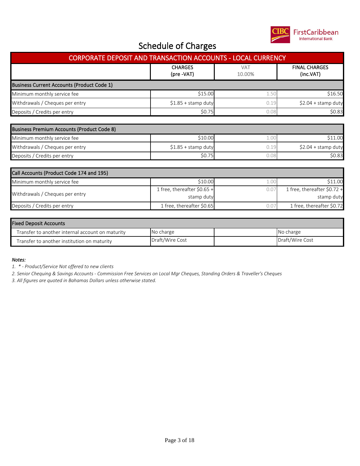

| CORPORATE DEPOSIT AND TRANSACTION ACCOUNTS - LOCAL CURRENCY |                                           |                      |                                           |  |  |
|-------------------------------------------------------------|-------------------------------------------|----------------------|-------------------------------------------|--|--|
|                                                             | <b>CHARGES</b><br>(pre -VAT)              | <b>VAT</b><br>10.00% | <b>FINAL CHARGES</b><br>(inc.VAT)         |  |  |
| <b>Business Current Accounts (Product Code 1)</b>           |                                           |                      |                                           |  |  |
| Minimum monthly service fee                                 | \$15.00                                   | 1.50                 | \$16.50                                   |  |  |
| Withdrawals / Cheques per entry                             | $$1.85 +$ stamp duty                      | 0.19                 | $$2.04 + stamp$ duty                      |  |  |
| Deposits / Credits per entry                                | \$0.75                                    | 0.08                 | \$0.83                                    |  |  |
| Business Premium Accounts (Product Code 8)                  |                                           |                      |                                           |  |  |
| Minimum monthly service fee                                 | \$10.00                                   | 1.00                 | \$11.00                                   |  |  |
| Withdrawals / Cheques per entry                             | $$1.85 +$ stamp duty                      | 0.19                 | $$2.04 + stamp$ duty                      |  |  |
| Deposits / Credits per entry                                | \$0.75                                    | 0.08                 | \$0.83                                    |  |  |
| Call Accounts (Product Code 174 and 195)                    |                                           |                      |                                           |  |  |
| Minimum monthly service fee                                 | \$10.00                                   | 1.00                 | \$11.00                                   |  |  |
| Withdrawals / Cheques per entry                             | 1 free, thereafter \$0.65 +<br>stamp duty | 0.07                 | 1 free, thereafter \$0.72 +<br>stamp duty |  |  |
| Deposits / Credits per entry                                | 1 free, thereafter \$0.65                 | 0.07                 | 1 free, thereafter \$0.72                 |  |  |

| <b>Fixed Deposit Accounts</b>                    |                 |  |                 |  |  |
|--------------------------------------------------|-----------------|--|-----------------|--|--|
| Transfer to another internal account on maturity | No charge       |  | No charge       |  |  |
| Transfer to another institution on maturity      | Draft/Wire Cost |  | Draft/Wire Cost |  |  |

*Notes:*

*1. \* - Product/Service Not offered to new clients*

*2. Senior Chequing & Savings Accounts - Commission Free Services on Local Mgr Cheques, Standing Orders & Traveller's Cheques*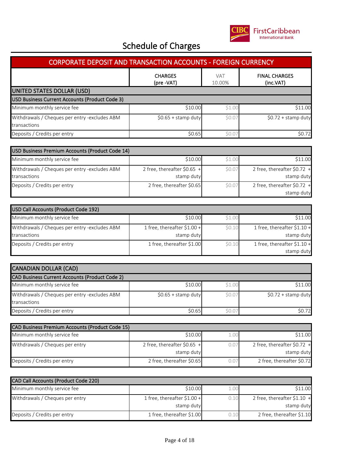

| <b>CORPORATE DEPOSIT AND TRANSACTION ACCOUNTS - FOREIGN CURRENCY</b> |                              |                      |                      |  |  |  |
|----------------------------------------------------------------------|------------------------------|----------------------|----------------------|--|--|--|
|                                                                      | <b>CHARGES</b><br>(pre -VAT) | <b>VAT</b><br>10.00% |                      |  |  |  |
| UNITED STATES DOLLAR (USD)                                           |                              |                      |                      |  |  |  |
| USD Business Current Accounts (Product Code 3)                       |                              |                      |                      |  |  |  |
| Minimum monthly service fee                                          | \$10.00                      | \$1.00               | \$11.00              |  |  |  |
| Withdrawals / Cheques per entry -excludes ABM<br>transactions        | $$0.65 +$ stamp duty         | \$0.0                | $$0.72 +$ stamp duty |  |  |  |
| Deposits / Credits per entry                                         | \$0.65                       | \$0.0                | \$0.72               |  |  |  |

| USD Business Premium Accounts (Product Code 14)               |                                            |        |                                            |  |  |  |
|---------------------------------------------------------------|--------------------------------------------|--------|--------------------------------------------|--|--|--|
| Minimum monthly service fee                                   | \$10.00                                    | \$1.00 | \$11.00                                    |  |  |  |
| Withdrawals / Cheques per entry -excludes ABM<br>transactions | 2 free, thereafter $$0.65 +$<br>stamp duty | \$0.07 | 2 free, thereafter $$0.72$ +<br>stamp duty |  |  |  |
| Deposits / Credits per entry                                  | 2 free, thereafter \$0.65                  | \$0.07 | 2 free, thereafter $$0.72$ +<br>stamp duty |  |  |  |

| USD Call Accounts (Product Code 192)                          |                                            |        |                                           |
|---------------------------------------------------------------|--------------------------------------------|--------|-------------------------------------------|
| Minimum monthly service fee                                   | \$10.00                                    | \$1.00 | \$11.00                                   |
| Withdrawals / Cheques per entry -excludes ABM<br>transactions | 1 free, thereafter $$1.00 +$<br>stamp duty | \$0.10 | 1 free, thereafter \$1.10 +<br>stamp duty |
| Deposits / Credits per entry                                  | 1 free, thereafter \$1.00                  | \$0.10 | 1 free, thereafter \$1.10 +<br>stamp duty |

| <b>CANADIAN DOLLAR (CAD)</b>                                  |                      |        |                      |
|---------------------------------------------------------------|----------------------|--------|----------------------|
| <b>CAD Business Current Accounts (Product Code 2)</b>         |                      |        |                      |
| Minimum monthly service fee                                   | \$10.00              | \$1.00 | \$11.00              |
| Withdrawals / Cheques per entry -excludes ABM<br>transactions | $$0.65 +$ stamp duty | \$0.07 | $$0.72 + stamp$ duty |
| Deposits / Credits per entry                                  | \$0.65               | \$0.0' | \$0.72               |

| CAD Business Premium Accounts (Product Code 15) |                                            |      |                                            |  |  |  |
|-------------------------------------------------|--------------------------------------------|------|--------------------------------------------|--|--|--|
| Minimum monthly service fee                     | \$10.00                                    |      | \$11.00                                    |  |  |  |
| Withdrawals / Cheques per entry                 | 2 free, thereafter $$0.65$ +<br>stamp duty | 0.07 | 2 free, thereafter $$0.72$ +<br>stamp duty |  |  |  |
| Deposits / Credits per entry                    | 2 free, thereafter \$0.65                  | 0.07 | 2 free, thereafter \$0.72                  |  |  |  |

| <b>CAD Call Accounts (Product Code 220)</b> |                              |      |                              |
|---------------------------------------------|------------------------------|------|------------------------------|
| Minimum monthly service fee                 | \$10.00                      | .00. | \$11.00                      |
| Withdrawals / Cheques per entry             | 1 free, thereafter $$1.00 +$ | 0.10 | 2 free, thereafter $$1.10 +$ |
|                                             | stamp duty                   |      | stamp duty                   |
| Deposits / Credits per entry                | 1 free, thereafter \$1.00    |      | 2 free, thereafter \$1.10    |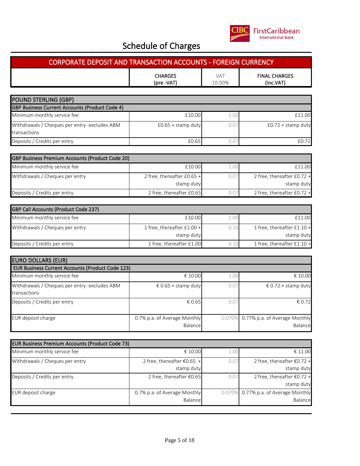

| <b>CORPORATE DEPOSIT AND TRANSACTION ACCOUNTS - FOREIGN CURRENCY</b> |                                                   |                      |                                            |  |  |
|----------------------------------------------------------------------|---------------------------------------------------|----------------------|--------------------------------------------|--|--|
|                                                                      | <b>CHARGES</b><br>(pre -VAT)                      | <b>VAT</b><br>10.00% | <b>FINAL CHARGES</b><br>(inc.VAT)          |  |  |
| <b>POUND STERLING (GBP)</b>                                          |                                                   |                      |                                            |  |  |
| GBP Business Current Accounts (Product Code 4)                       |                                                   |                      |                                            |  |  |
| Minimum monthly service fee                                          | £10.00                                            | 1.00                 | £11.00                                     |  |  |
| Withdrawals / Cheques per entry -excludes ABM<br>transactions        | $£0.65 + stamp$ duty                              | 0.07                 | $£0.72 + stamp$ duty                       |  |  |
| Deposits / Credits per entry                                         | £0.65                                             | 0.07                 | £0.72                                      |  |  |
| GBP Business Premium Accounts (Product Code 20)                      |                                                   |                      |                                            |  |  |
| Minimum monthly service fee                                          | £10.00                                            | 1.00                 | £11.00                                     |  |  |
| Withdrawals / Cheques per entry                                      | 2 free, thereafter £0.65 +<br>stamp duty          | 0.07                 | 2 free, thereafter £0.72 +<br>stamp duty   |  |  |
| Deposits / Credits per entry                                         | 2 free, thereafter £0.65                          | 0.07                 | 2 free, thereafter £0.72 +                 |  |  |
| <b>GBP Call Accounts (Product Code 237)</b>                          |                                                   |                      |                                            |  |  |
| Minimum monthly service fee                                          | £10.00                                            | 1.00                 | £11.00                                     |  |  |
| Withdrawals / Cheques per entry                                      | 1 free, thereafter £1.00 +<br>stamp duty          | 0.10                 | 1 free, thereafter £1.10 +<br>stamp duty   |  |  |
| Deposits / Credits per entry                                         | 1 free, thereafter £1.00                          | 0.10                 | 1 free, thereafter £1.10 +                 |  |  |
| <b>EURO DOLLARS (EUR)</b>                                            |                                                   |                      |                                            |  |  |
| <b>EUR Business Current Accounts (Product Code 123)</b>              |                                                   |                      |                                            |  |  |
| Minimum monthly service fee                                          | € 10.00                                           | 1.00                 | € 10.00                                    |  |  |
| Withdrawals / Cheques per entry -excludes ABM<br>transactions        | € 0.65 + stamp duty                               | 0.07                 | € 0.72 + stamp duty                        |  |  |
| Deposits / Credits per entry                                         | € 0.65                                            | 0.07                 | € 0.72                                     |  |  |
| EUR deposit charge                                                   | 0.7% p.a. of Average Monthly<br>0.070%<br>Balance |                      | 0.77% p.a. of Average Monthly<br>Balance   |  |  |
| <b>EUR Business Premium Accounts (Product Code 73)</b>               |                                                   |                      |                                            |  |  |
| Minimum monthly service fee                                          | € 10.00                                           | 1.00                 | € 11.00                                    |  |  |
| Withdrawals / Cheques per entry                                      | 2 free, thereafter €0.65 +<br>0.07                |                      | 2 free, thereafter €0.72 +<br>stamp duty   |  |  |
| Deposits / Credits per entry                                         | stamp duty<br>2 free, thereafter €0.65<br>0.07    |                      | 2 free, thereafter $€0.72 +$<br>stamp duty |  |  |
| EUR deposit charge                                                   | 0.7% p.a. of Average Monthly<br>Balance           | 0.070%               | 0.77% p.a. of Average Monthly<br>Balance   |  |  |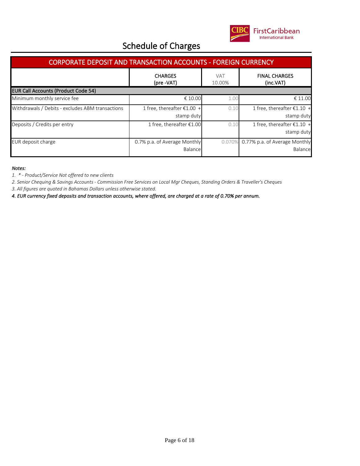

| <b>CORPORATE DEPOSIT AND TRANSACTION ACCOUNTS - FOREIGN CURRENCY</b>                      |                                            |        |                                            |  |  |  |
|-------------------------------------------------------------------------------------------|--------------------------------------------|--------|--------------------------------------------|--|--|--|
| <b>CHARGES</b><br><b>VAT</b><br><b>FINAL CHARGES</b><br>(pre -VAT)<br>10.00%<br>(inc.VAT) |                                            |        |                                            |  |  |  |
| <b>EUR Call Accounts (Product Code 54)</b>                                                |                                            |        |                                            |  |  |  |
| Minimum monthly service fee                                                               | € 10.00                                    | 1.00   | € 11.00                                    |  |  |  |
| Withdrawals / Debits - excludes ABM transactions                                          | 1 free, thereafter $£1.00 +$<br>stamp duty | 0.10   | 1 free, thereafter $£1.10 +$<br>stamp duty |  |  |  |
| Deposits / Credits per entry                                                              | 1 free, thereafter $£1.00$                 | 0.10   | 1 free, thereafter $£1.10 +$<br>stamp duty |  |  |  |
| EUR deposit charge                                                                        | 0.7% p.a. of Average Monthly<br>Balancel   | 0.070% | 6 0.77% p.a. of Average Monthly<br>Balance |  |  |  |

*Notes:*

*1. \* - Product/Service Not offered to new clients*

*2. Senior Chequing & Savings Accounts - Commission Free Services on Local Mgr Cheques, Standing Orders & Traveller's Cheques*

*3. All figures are quoted in Bahamas Dollars unless otherwise stated.*

*4. EUR currency fixed deposits and transaction accounts, where offered, are charged at a rate of 0.70% per annum.*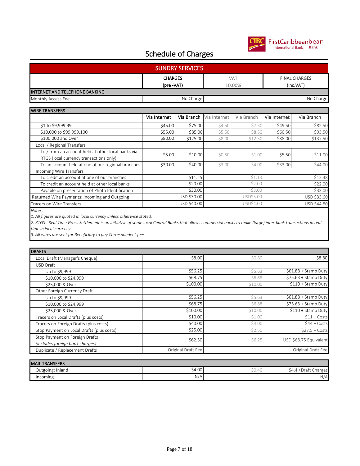

## FirstCaribbeanbean

#### Schedule of Charges

| <b>SUNDRY SERVICES</b>         |                              |               |                                   |  |  |
|--------------------------------|------------------------------|---------------|-----------------------------------|--|--|
|                                | <b>CHARGES</b><br>(pre -VAT) | VAT<br>10.00% | <b>FINAL CHARGES</b><br>(inc.VAT) |  |  |
| INTERNET AND TELEPHONE BANKING |                              |               |                                   |  |  |
| Monthly Access Fee             | No Charge                    |               | No Charge                         |  |  |

| <b>WIRE TRANSFERS</b>                              |              |             |              |            |              |             |
|----------------------------------------------------|--------------|-------------|--------------|------------|--------------|-------------|
|                                                    | Via Internet | Via Branch  | Via Internet | Via Branch | Via Internet | Via Branch  |
| \$1 to \$9,999.99                                  | \$45.00      | \$75.00     | \$4.50       | \$7.50     | \$49.50      | \$82.50     |
| \$10,000 to \$99,999.100                           | \$55.00      | \$85.00     | \$5.50       | \$8.50     | \$60.50      | \$93.50     |
| \$100,000 and Over                                 | \$80.00      | \$125.00    | \$8.00       | \$12.50    | \$88.00      | \$137.50    |
| Local / Regional Transfers                         |              |             |              |            |              |             |
| To / from an account held at other local banks via | \$5.00       | \$10.00     | \$0.50       | \$1.00     | \$5.50       | \$11.00     |
| RTGS (local currency transactions only)            |              |             |              |            |              |             |
| To an account held at one of our regional branches | \$30.00      | \$40.00     | \$3.00       | \$4.00     | \$33.00      | \$44.00     |
| <b>Incoming Wire Transfers</b>                     |              |             |              |            |              |             |
| To credit an account at one of our branches        |              | \$11.25     |              | \$1.13     |              | \$12.38     |
| To credit an account held at other local banks     |              | \$20.00     |              | \$2.00     |              | \$22.00     |
| Payable on presentation of Photo Identification    |              | \$30.00     |              | \$3.00     |              | \$33.00     |
| Returned Wire Payments: Incoming and Outgoing      |              | USD \$30.00 |              | USD\$3.00  |              | USD \$33.60 |
| Tracers on Wire Transfers                          |              | USD \$40.00 |              | USD\$4.00  |              | USD \$44.80 |

*Notes:*

*1. All figures are quoted in local currency unless otherwise stated.*

*2. RTGS - Real Time Gross Settlement is an initiative of some local Central Banks that allows commercial banks to make (large) inter-bank transactions in realtime in local currency.*

*3. All wires are sent for Beneficiary to pay Correspondent fees*

| <b>DRAFTS</b>                             |                    |         |                        |
|-------------------------------------------|--------------------|---------|------------------------|
| Local Draft (Manager's Cheque)            | \$8.00             | \$0.80  | \$8.80                 |
| USD Draft                                 |                    |         |                        |
| Up to \$9,999                             | \$56.25            | \$5.63  | \$61.88 + Stamp Duty   |
| \$10,000 to \$24,999                      | \$68.75            | \$6.88  | \$75.63 + Stamp Duty   |
| \$25,000 & Over                           | \$100.00           | \$10.00 | $$110 +$ Stamp Duty    |
| Other Foreign Currency Draft              |                    |         |                        |
| Up to \$9,999                             | \$56.25            | \$5.63  | \$61.88 + Stamp Duty   |
| \$10,000 to \$24,999                      | \$68.75            | \$6.88  | $$75.63 + Stamp Duty$  |
| \$25,000 & Over                           | \$100.00           | \$10.00 | \$110 + Stamp Duty     |
| Tracers on Local Drafts (plus costs)      | \$10.00            | \$1.00  | $$11 + Costs$          |
| Tracers on Foreign Drafts (plus costs)    | \$40.00            | \$4.00  | $$44 + Costs$          |
| Stop Payment on Local Drafts (plus costs) | \$25.00            | \$2.50  | $$27.5 + Costs$        |
| Stop Payment on Foreign Drafts            |                    |         | USD \$68.75 Equivalent |
| (includes foreign bank charges)           | \$62.50            | \$6.25  |                        |
| Duplicate / Replacement Drafts            | Original Draft Fee |         | Original Draft Fee     |

| <b>MAIL TRANSFERS</b> |         |       |                              |
|-----------------------|---------|-------|------------------------------|
| Outgoing: Inland      | $-4.00$ | 30.4U | ·Draft<br>aarges<br>54.4<br> |
| Incoming              | $N/A_1$ |       | N/A                          |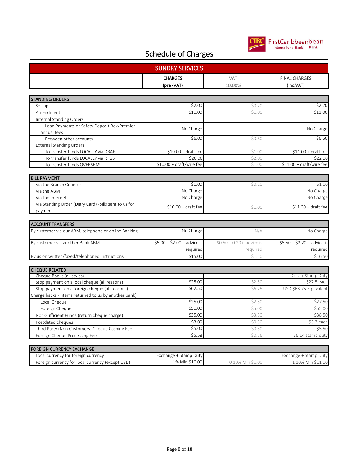

| <b>SUNDRY SERVICES</b>                                     |                              |                             |                                   |  |
|------------------------------------------------------------|------------------------------|-----------------------------|-----------------------------------|--|
|                                                            | <b>CHARGES</b><br>(pre -VAT) | <b>VAT</b><br>10.00%        | <b>FINAL CHARGES</b><br>(inc.VAT) |  |
| <b>STANDING ORDERS</b>                                     |                              |                             |                                   |  |
| Set-up                                                     | \$2.00                       | \$0.20                      | \$2.20                            |  |
| Amendment                                                  | \$10.00                      | \$1.00                      | \$11.00                           |  |
| Internal Standing Orders                                   |                              |                             |                                   |  |
| Loan Payments or Safety Deposit Box/Premier<br>annual fees | No Charge                    |                             | No Charge                         |  |
| Between other accounts                                     | \$6.00                       | \$0.60                      | \$6.60                            |  |
| <b>External Standing Orders:</b>                           |                              |                             |                                   |  |
| To transfer funds LOCALLY via DRAFT                        | $$10.00 + draft fee$         | \$1.00                      | $$11.00 + draft fee$              |  |
| To transfer funds LOCALLY via RTGS                         | \$20.00                      | \$2.00                      | \$22.00                           |  |
| To transfer funds OVERSEAS                                 | $$10.00 + draft/wire fee$    | \$1.00                      | \$11.00 + draft/wire fee          |  |
|                                                            |                              |                             |                                   |  |
| <b>BILL PAYMENT</b>                                        |                              |                             |                                   |  |
| Via the Branch Counter                                     | \$1.00                       | \$0.10                      | \$1.10                            |  |
| Via the ABM                                                | No Charge                    |                             | No Charge                         |  |
| Via the Internet                                           | No Charge                    |                             | No Charge                         |  |
| Via Standing Order (Diary Card) - bills sent to us for     |                              |                             |                                   |  |
| payment                                                    | $$10.00 + draft fee$         | \$1.00                      | $$11.00 + draft fee$              |  |
|                                                            |                              |                             |                                   |  |
| <b>ACCOUNT TRANSFERS</b>                                   |                              |                             |                                   |  |
| By customer via our ABM, telephone or online Banking       | No Charge                    | N/A                         | No Charge                         |  |
| By customer via another Bank ABM                           | $$5.00 + $2.00$ if advice is | $$0.50 + 0.20$ if advice is | \$5.50 + \$2.20 if advice is      |  |
|                                                            | required                     | required                    | required                          |  |
| By us on written/faxed/telephoned instructions             | \$15.00                      | \$1.50                      | \$16.50                           |  |
|                                                            |                              |                             |                                   |  |
| <b>CHEQUE RELATED</b>                                      |                              |                             |                                   |  |
| Cheque Books (all styles)                                  |                              |                             | Cost + Stamp Duty                 |  |
| Stop payment on a local cheque (all reasons)               | \$25.00                      | \$2.50                      | \$27.5 each                       |  |
| Stop payment on a foreign cheque (all reasons)             | \$62.50                      | \$6.25                      | USD \$68.75 Equivalent            |  |
| Charge backs - (items returned to us by another bank)      |                              |                             |                                   |  |
| Local Cheque                                               | \$25.00                      | \$2.50                      | \$27.50                           |  |
| Foreign Cheque                                             | \$50.00                      | \$5.00                      | \$55.00                           |  |
| Non-Sufficient Funds (return cheque charge)                | \$35.00                      | \$3.50                      | \$38.50                           |  |
| Postdated cheques                                          | \$3.00                       | \$0.30                      | \$3.3 each                        |  |
| Third Party (Non Customers) Cheque Cashing Fee             | \$5.00                       | \$0.50                      | \$5.50                            |  |
| Foreign Cheque Processing Fee                              | \$5.58                       | \$0.56                      | \$6.14 stamp duty                 |  |

| <b>FOREIGN CURRENCY EXCHANGE</b>                 |                       |                  |                       |
|--------------------------------------------------|-----------------------|------------------|-----------------------|
| Local currency for foreign currency              | Exchange + Stamp Duty |                  | Exchange + Stamp Duty |
| Foreign currency for local currency (except USD) | 1% Min \$10.00        | 0.10% Min \$1.00 | 1.10% Min \$11.00     |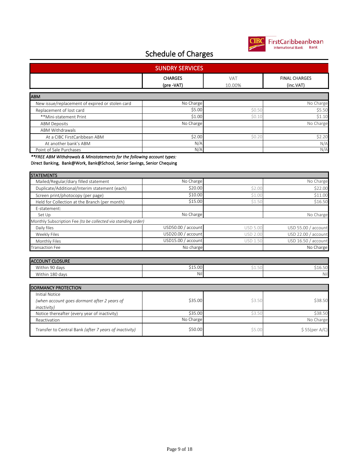

| <b>SUNDRY SERVICES</b>                                                                       |                              |                 |                                   |  |
|----------------------------------------------------------------------------------------------|------------------------------|-----------------|-----------------------------------|--|
|                                                                                              | <b>CHARGES</b><br>(pre -VAT) | VAT<br>10.00%   | <b>FINAL CHARGES</b><br>(inc.VAT) |  |
|                                                                                              |                              |                 |                                   |  |
| <b>ABM</b>                                                                                   |                              |                 |                                   |  |
| New issue/replacement of expired or stolen card                                              | No Charge                    |                 | No Charge                         |  |
| Replacement of lost card                                                                     | \$5.00                       | \$0.50          | \$5.50                            |  |
| **Mini-statement Print                                                                       | \$1.00                       | \$0.10          | \$1.10                            |  |
| <b>ABM Deposits</b>                                                                          | No Charge                    |                 | No Charge                         |  |
| <b>ABM Withdrawals</b>                                                                       |                              |                 |                                   |  |
| At a CIBC FirstCaribbean ABM                                                                 | \$2.00                       | \$0.20          | \$2.20                            |  |
| At another bank's ABM                                                                        | N/A                          |                 | N/A                               |  |
| Point of Sale Purchases                                                                      | N/A                          |                 | N/A                               |  |
| Direct Banking, Bank@Work, Bank@School, Senior Savings, Senior Chequing<br><b>STATEMENTS</b> |                              |                 |                                   |  |
| Mailed/Regular/diary filled statement                                                        | No Charge                    |                 | No Charge                         |  |
| Duplicate/Additional/Interim statement (each)                                                | \$20.00                      | \$2.00          | \$22.00                           |  |
| Screen print/photocopy (per page)                                                            | \$10.00                      | \$1.00          | \$11.00                           |  |
| Held for Collection at the Branch (per month)                                                | \$15.00                      | \$1.50          | \$16.50                           |  |
| E-statement:                                                                                 |                              |                 |                                   |  |
| Set Up                                                                                       | No Charge                    |                 | No Charge                         |  |
| Monthly Subscription Fee (to be collected via standing order)                                |                              |                 |                                   |  |
| Daily files                                                                                  | USD50.00 / account           | <b>USD 5.00</b> | USD 55.00 / account               |  |
| Weekly Files                                                                                 | USD20.00 / account           | <b>USD 2.00</b> | USD 22.00 / account               |  |
| Monthly Files                                                                                | USD15.00 / account           | <b>USD 1.50</b> | USD 16.50 / account               |  |
| <b>Transaction Fee</b>                                                                       | No charge                    |                 | No Charge                         |  |
|                                                                                              |                              |                 |                                   |  |
| <b>ACCOUNT CLOSURE</b>                                                                       |                              |                 |                                   |  |
| Within 90 days                                                                               | \$15.00                      | \$1.50          | \$16.50                           |  |
| Within 180 days                                                                              | Nil                          |                 | Nil                               |  |
|                                                                                              |                              |                 |                                   |  |
| <b>DORMANCY PROTECTION</b>                                                                   |                              |                 |                                   |  |
| <b>Initial Notice</b>                                                                        |                              |                 |                                   |  |
| (when account goes dormant after 2 years of                                                  | \$35.00                      | \$3.50          | \$38.50                           |  |
| <i>inactivity</i> )                                                                          |                              |                 |                                   |  |
| Notice thereafter (every year of inactivity)                                                 | \$35.00                      | \$3.5C          | \$38.50                           |  |
| Reactivation                                                                                 | No Charge                    |                 | No Charge                         |  |
| Transfer to Central Bank (after 7 years of inactivity)                                       | \$50.00                      | \$5.00          | \$55(per A/C)                     |  |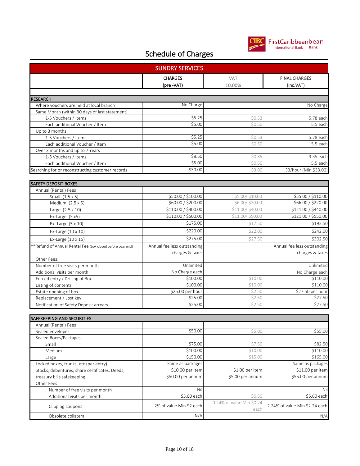

| <b>CHARGES</b><br><b>VAT</b><br><b>FINAL CHARGES</b><br>(pre -VAT)<br>10.00%<br>(inc.VAT)<br><b>RESEARCH</b><br>No Charge<br>Where vouchers are held at local branch<br>No Charge<br>Same Month (within 30 days of last statement)<br>\$5.25<br>5.78 each<br>\$0.53<br>1-5 Vouchers / Items<br>\$5.00<br>Each additional Voucher / Item<br>5.5 each<br>\$0.50<br>Up to 3 months<br>\$5.25<br>5.78 each<br>1-5 Vouchers / Items<br>\$0.53<br>\$5.00<br>5.5 each<br>\$0.50<br>Each additional Voucher / Item<br>Over 3 months and up to 7 Years<br>\$8.50<br>\$0.85<br>1-5 Vouchers / Items<br>\$5.00<br>Each additional Voucher / Item<br>\$0.50<br>\$30.00<br>\$3.00<br>Searching for or reconstructing customer records<br><b>SAFETY DEPOSIT BOXES</b><br>Annual (Rental) Fees<br>\$50.00 / \$100.00<br>\$5.00/\$10.00<br>Small (1.5 x 5)<br>\$60.00 / \$200.00<br>\$6.00/\$20.00<br>Medium (2.5 x 5)<br>\$110.00 / \$400.00<br>\$11.00/\$40.00<br>Large $(2.5 \times 10)$<br>\$110.00 / \$500.00<br>\$11.00/\$50.00<br>Ex-Large (5 x5)<br>\$175.00<br>\$17.50<br>Ex- Large (5 x 10)<br>\$220.00<br>\$22.00<br>Ex-Large (10 x 10)<br>\$275.00<br>\$27.50<br>Ex-Large (10 x 15)<br>**Refund of Annual Rental Fee (box closed before year end)<br>Annual fee less outstanding<br>charges & taxes<br>charges & taxes<br>Other Fees:<br>Unlimited<br>Number of free visits per month<br>No Charge each<br>Additional visits per month<br>\$100.00<br>\$10.00<br>\$110.00<br>Forced entry / Drilling of Box<br>\$100.00<br>\$10.00<br>Listing of contents<br>\$25.00 per hour<br>\$27.50 per hour<br>\$2.50<br>Estate opening of box<br>\$25.00<br>\$2.50<br>Replacement / Lost key<br>\$25.00<br>\$2.50<br>Notification of Safety Deposit arrears<br><b>SAFEKEEPING AND SECURITIES</b><br>Annual (Rental) Fees<br>\$50.00<br>\$5.00<br>Sealed envelopes<br>Sealed Boxes/Packages<br>\$75.00<br>\$7.50<br>Small<br>\$100.00<br>\$10.00<br>Medium<br>\$150.00<br>\$15.00<br>Large<br>Same as packages<br>Same as packages<br>Locked boxes, trunks, etc (per entry)<br>\$10.00 per item<br>\$1.00 per item<br>Stocks, debentures, share certificates, Deeds,<br>\$50.00 per annum<br>treasury bills safekeeping<br>\$5.00 per annum<br>Other Fees<br>Nil<br>Number of free visits per month<br>Nil<br>\$5.00 each<br>\$0.50<br>Additional visits per month<br>0.24% of value Min \$0.24<br>2% of value Min \$2 each<br>Clipping coupons<br>each<br>N/A | <b>SUNDRY SERVICES</b> |  |  |  |  |  |
|--------------------------------------------------------------------------------------------------------------------------------------------------------------------------------------------------------------------------------------------------------------------------------------------------------------------------------------------------------------------------------------------------------------------------------------------------------------------------------------------------------------------------------------------------------------------------------------------------------------------------------------------------------------------------------------------------------------------------------------------------------------------------------------------------------------------------------------------------------------------------------------------------------------------------------------------------------------------------------------------------------------------------------------------------------------------------------------------------------------------------------------------------------------------------------------------------------------------------------------------------------------------------------------------------------------------------------------------------------------------------------------------------------------------------------------------------------------------------------------------------------------------------------------------------------------------------------------------------------------------------------------------------------------------------------------------------------------------------------------------------------------------------------------------------------------------------------------------------------------------------------------------------------------------------------------------------------------------------------------------------------------------------------------------------------------------------------------------------------------------------------------------------------------------------------------------------------------------------------------------------------------------------------------------------------------------------------------------------------------------------------------------------------------------------------------------------|------------------------|--|--|--|--|--|
|                                                                                                                                                                                                                                                                                                                                                                                                                                                                                                                                                                                                                                                                                                                                                                                                                                                                                                                                                                                                                                                                                                                                                                                                                                                                                                                                                                                                                                                                                                                                                                                                                                                                                                                                                                                                                                                                                                                                                                                                                                                                                                                                                                                                                                                                                                                                                                                                                                                  |                        |  |  |  |  |  |
|                                                                                                                                                                                                                                                                                                                                                                                                                                                                                                                                                                                                                                                                                                                                                                                                                                                                                                                                                                                                                                                                                                                                                                                                                                                                                                                                                                                                                                                                                                                                                                                                                                                                                                                                                                                                                                                                                                                                                                                                                                                                                                                                                                                                                                                                                                                                                                                                                                                  |                        |  |  |  |  |  |
| 9.35 each<br>5.5 each<br>33/hour (Min \$33.00)<br>\$55.00 / \$110.00<br>\$66.00 / \$220.00<br>\$121.00 / \$440.00                                                                                                                                                                                                                                                                                                                                                                                                                                                                                                                                                                                                                                                                                                                                                                                                                                                                                                                                                                                                                                                                                                                                                                                                                                                                                                                                                                                                                                                                                                                                                                                                                                                                                                                                                                                                                                                                                                                                                                                                                                                                                                                                                                                                                                                                                                                                |                        |  |  |  |  |  |
|                                                                                                                                                                                                                                                                                                                                                                                                                                                                                                                                                                                                                                                                                                                                                                                                                                                                                                                                                                                                                                                                                                                                                                                                                                                                                                                                                                                                                                                                                                                                                                                                                                                                                                                                                                                                                                                                                                                                                                                                                                                                                                                                                                                                                                                                                                                                                                                                                                                  |                        |  |  |  |  |  |
|                                                                                                                                                                                                                                                                                                                                                                                                                                                                                                                                                                                                                                                                                                                                                                                                                                                                                                                                                                                                                                                                                                                                                                                                                                                                                                                                                                                                                                                                                                                                                                                                                                                                                                                                                                                                                                                                                                                                                                                                                                                                                                                                                                                                                                                                                                                                                                                                                                                  |                        |  |  |  |  |  |
|                                                                                                                                                                                                                                                                                                                                                                                                                                                                                                                                                                                                                                                                                                                                                                                                                                                                                                                                                                                                                                                                                                                                                                                                                                                                                                                                                                                                                                                                                                                                                                                                                                                                                                                                                                                                                                                                                                                                                                                                                                                                                                                                                                                                                                                                                                                                                                                                                                                  |                        |  |  |  |  |  |
|                                                                                                                                                                                                                                                                                                                                                                                                                                                                                                                                                                                                                                                                                                                                                                                                                                                                                                                                                                                                                                                                                                                                                                                                                                                                                                                                                                                                                                                                                                                                                                                                                                                                                                                                                                                                                                                                                                                                                                                                                                                                                                                                                                                                                                                                                                                                                                                                                                                  |                        |  |  |  |  |  |
|                                                                                                                                                                                                                                                                                                                                                                                                                                                                                                                                                                                                                                                                                                                                                                                                                                                                                                                                                                                                                                                                                                                                                                                                                                                                                                                                                                                                                                                                                                                                                                                                                                                                                                                                                                                                                                                                                                                                                                                                                                                                                                                                                                                                                                                                                                                                                                                                                                                  |                        |  |  |  |  |  |
|                                                                                                                                                                                                                                                                                                                                                                                                                                                                                                                                                                                                                                                                                                                                                                                                                                                                                                                                                                                                                                                                                                                                                                                                                                                                                                                                                                                                                                                                                                                                                                                                                                                                                                                                                                                                                                                                                                                                                                                                                                                                                                                                                                                                                                                                                                                                                                                                                                                  |                        |  |  |  |  |  |
|                                                                                                                                                                                                                                                                                                                                                                                                                                                                                                                                                                                                                                                                                                                                                                                                                                                                                                                                                                                                                                                                                                                                                                                                                                                                                                                                                                                                                                                                                                                                                                                                                                                                                                                                                                                                                                                                                                                                                                                                                                                                                                                                                                                                                                                                                                                                                                                                                                                  |                        |  |  |  |  |  |
|                                                                                                                                                                                                                                                                                                                                                                                                                                                                                                                                                                                                                                                                                                                                                                                                                                                                                                                                                                                                                                                                                                                                                                                                                                                                                                                                                                                                                                                                                                                                                                                                                                                                                                                                                                                                                                                                                                                                                                                                                                                                                                                                                                                                                                                                                                                                                                                                                                                  |                        |  |  |  |  |  |
|                                                                                                                                                                                                                                                                                                                                                                                                                                                                                                                                                                                                                                                                                                                                                                                                                                                                                                                                                                                                                                                                                                                                                                                                                                                                                                                                                                                                                                                                                                                                                                                                                                                                                                                                                                                                                                                                                                                                                                                                                                                                                                                                                                                                                                                                                                                                                                                                                                                  |                        |  |  |  |  |  |
|                                                                                                                                                                                                                                                                                                                                                                                                                                                                                                                                                                                                                                                                                                                                                                                                                                                                                                                                                                                                                                                                                                                                                                                                                                                                                                                                                                                                                                                                                                                                                                                                                                                                                                                                                                                                                                                                                                                                                                                                                                                                                                                                                                                                                                                                                                                                                                                                                                                  |                        |  |  |  |  |  |
|                                                                                                                                                                                                                                                                                                                                                                                                                                                                                                                                                                                                                                                                                                                                                                                                                                                                                                                                                                                                                                                                                                                                                                                                                                                                                                                                                                                                                                                                                                                                                                                                                                                                                                                                                                                                                                                                                                                                                                                                                                                                                                                                                                                                                                                                                                                                                                                                                                                  |                        |  |  |  |  |  |
|                                                                                                                                                                                                                                                                                                                                                                                                                                                                                                                                                                                                                                                                                                                                                                                                                                                                                                                                                                                                                                                                                                                                                                                                                                                                                                                                                                                                                                                                                                                                                                                                                                                                                                                                                                                                                                                                                                                                                                                                                                                                                                                                                                                                                                                                                                                                                                                                                                                  |                        |  |  |  |  |  |
|                                                                                                                                                                                                                                                                                                                                                                                                                                                                                                                                                                                                                                                                                                                                                                                                                                                                                                                                                                                                                                                                                                                                                                                                                                                                                                                                                                                                                                                                                                                                                                                                                                                                                                                                                                                                                                                                                                                                                                                                                                                                                                                                                                                                                                                                                                                                                                                                                                                  |                        |  |  |  |  |  |
|                                                                                                                                                                                                                                                                                                                                                                                                                                                                                                                                                                                                                                                                                                                                                                                                                                                                                                                                                                                                                                                                                                                                                                                                                                                                                                                                                                                                                                                                                                                                                                                                                                                                                                                                                                                                                                                                                                                                                                                                                                                                                                                                                                                                                                                                                                                                                                                                                                                  |                        |  |  |  |  |  |
|                                                                                                                                                                                                                                                                                                                                                                                                                                                                                                                                                                                                                                                                                                                                                                                                                                                                                                                                                                                                                                                                                                                                                                                                                                                                                                                                                                                                                                                                                                                                                                                                                                                                                                                                                                                                                                                                                                                                                                                                                                                                                                                                                                                                                                                                                                                                                                                                                                                  |                        |  |  |  |  |  |
| \$121.00 / \$550.00<br>\$192.50<br>\$242.00<br>\$302.50<br>Annual fee less outstanding<br>Unlimited<br>No Charge each<br>\$110.00<br>\$27.50<br>\$27.50<br>\$55.00<br>\$82.50<br>\$110.00<br>\$165.00<br>\$11.00 per item<br>\$55.00 per annum<br>$55.60$ each<br>2.24% of value Min \$2.24 each<br>N/A                                                                                                                                                                                                                                                                                                                                                                                                                                                                                                                                                                                                                                                                                                                                                                                                                                                                                                                                                                                                                                                                                                                                                                                                                                                                                                                                                                                                                                                                                                                                                                                                                                                                                                                                                                                                                                                                                                                                                                                                                                                                                                                                          |                        |  |  |  |  |  |
|                                                                                                                                                                                                                                                                                                                                                                                                                                                                                                                                                                                                                                                                                                                                                                                                                                                                                                                                                                                                                                                                                                                                                                                                                                                                                                                                                                                                                                                                                                                                                                                                                                                                                                                                                                                                                                                                                                                                                                                                                                                                                                                                                                                                                                                                                                                                                                                                                                                  |                        |  |  |  |  |  |
|                                                                                                                                                                                                                                                                                                                                                                                                                                                                                                                                                                                                                                                                                                                                                                                                                                                                                                                                                                                                                                                                                                                                                                                                                                                                                                                                                                                                                                                                                                                                                                                                                                                                                                                                                                                                                                                                                                                                                                                                                                                                                                                                                                                                                                                                                                                                                                                                                                                  |                        |  |  |  |  |  |
|                                                                                                                                                                                                                                                                                                                                                                                                                                                                                                                                                                                                                                                                                                                                                                                                                                                                                                                                                                                                                                                                                                                                                                                                                                                                                                                                                                                                                                                                                                                                                                                                                                                                                                                                                                                                                                                                                                                                                                                                                                                                                                                                                                                                                                                                                                                                                                                                                                                  |                        |  |  |  |  |  |
|                                                                                                                                                                                                                                                                                                                                                                                                                                                                                                                                                                                                                                                                                                                                                                                                                                                                                                                                                                                                                                                                                                                                                                                                                                                                                                                                                                                                                                                                                                                                                                                                                                                                                                                                                                                                                                                                                                                                                                                                                                                                                                                                                                                                                                                                                                                                                                                                                                                  |                        |  |  |  |  |  |
|                                                                                                                                                                                                                                                                                                                                                                                                                                                                                                                                                                                                                                                                                                                                                                                                                                                                                                                                                                                                                                                                                                                                                                                                                                                                                                                                                                                                                                                                                                                                                                                                                                                                                                                                                                                                                                                                                                                                                                                                                                                                                                                                                                                                                                                                                                                                                                                                                                                  |                        |  |  |  |  |  |
|                                                                                                                                                                                                                                                                                                                                                                                                                                                                                                                                                                                                                                                                                                                                                                                                                                                                                                                                                                                                                                                                                                                                                                                                                                                                                                                                                                                                                                                                                                                                                                                                                                                                                                                                                                                                                                                                                                                                                                                                                                                                                                                                                                                                                                                                                                                                                                                                                                                  |                        |  |  |  |  |  |
|                                                                                                                                                                                                                                                                                                                                                                                                                                                                                                                                                                                                                                                                                                                                                                                                                                                                                                                                                                                                                                                                                                                                                                                                                                                                                                                                                                                                                                                                                                                                                                                                                                                                                                                                                                                                                                                                                                                                                                                                                                                                                                                                                                                                                                                                                                                                                                                                                                                  |                        |  |  |  |  |  |
|                                                                                                                                                                                                                                                                                                                                                                                                                                                                                                                                                                                                                                                                                                                                                                                                                                                                                                                                                                                                                                                                                                                                                                                                                                                                                                                                                                                                                                                                                                                                                                                                                                                                                                                                                                                                                                                                                                                                                                                                                                                                                                                                                                                                                                                                                                                                                                                                                                                  |                        |  |  |  |  |  |
|                                                                                                                                                                                                                                                                                                                                                                                                                                                                                                                                                                                                                                                                                                                                                                                                                                                                                                                                                                                                                                                                                                                                                                                                                                                                                                                                                                                                                                                                                                                                                                                                                                                                                                                                                                                                                                                                                                                                                                                                                                                                                                                                                                                                                                                                                                                                                                                                                                                  |                        |  |  |  |  |  |
|                                                                                                                                                                                                                                                                                                                                                                                                                                                                                                                                                                                                                                                                                                                                                                                                                                                                                                                                                                                                                                                                                                                                                                                                                                                                                                                                                                                                                                                                                                                                                                                                                                                                                                                                                                                                                                                                                                                                                                                                                                                                                                                                                                                                                                                                                                                                                                                                                                                  |                        |  |  |  |  |  |
|                                                                                                                                                                                                                                                                                                                                                                                                                                                                                                                                                                                                                                                                                                                                                                                                                                                                                                                                                                                                                                                                                                                                                                                                                                                                                                                                                                                                                                                                                                                                                                                                                                                                                                                                                                                                                                                                                                                                                                                                                                                                                                                                                                                                                                                                                                                                                                                                                                                  |                        |  |  |  |  |  |
|                                                                                                                                                                                                                                                                                                                                                                                                                                                                                                                                                                                                                                                                                                                                                                                                                                                                                                                                                                                                                                                                                                                                                                                                                                                                                                                                                                                                                                                                                                                                                                                                                                                                                                                                                                                                                                                                                                                                                                                                                                                                                                                                                                                                                                                                                                                                                                                                                                                  |                        |  |  |  |  |  |
|                                                                                                                                                                                                                                                                                                                                                                                                                                                                                                                                                                                                                                                                                                                                                                                                                                                                                                                                                                                                                                                                                                                                                                                                                                                                                                                                                                                                                                                                                                                                                                                                                                                                                                                                                                                                                                                                                                                                                                                                                                                                                                                                                                                                                                                                                                                                                                                                                                                  |                        |  |  |  |  |  |
|                                                                                                                                                                                                                                                                                                                                                                                                                                                                                                                                                                                                                                                                                                                                                                                                                                                                                                                                                                                                                                                                                                                                                                                                                                                                                                                                                                                                                                                                                                                                                                                                                                                                                                                                                                                                                                                                                                                                                                                                                                                                                                                                                                                                                                                                                                                                                                                                                                                  |                        |  |  |  |  |  |
|                                                                                                                                                                                                                                                                                                                                                                                                                                                                                                                                                                                                                                                                                                                                                                                                                                                                                                                                                                                                                                                                                                                                                                                                                                                                                                                                                                                                                                                                                                                                                                                                                                                                                                                                                                                                                                                                                                                                                                                                                                                                                                                                                                                                                                                                                                                                                                                                                                                  |                        |  |  |  |  |  |
|                                                                                                                                                                                                                                                                                                                                                                                                                                                                                                                                                                                                                                                                                                                                                                                                                                                                                                                                                                                                                                                                                                                                                                                                                                                                                                                                                                                                                                                                                                                                                                                                                                                                                                                                                                                                                                                                                                                                                                                                                                                                                                                                                                                                                                                                                                                                                                                                                                                  |                        |  |  |  |  |  |
|                                                                                                                                                                                                                                                                                                                                                                                                                                                                                                                                                                                                                                                                                                                                                                                                                                                                                                                                                                                                                                                                                                                                                                                                                                                                                                                                                                                                                                                                                                                                                                                                                                                                                                                                                                                                                                                                                                                                                                                                                                                                                                                                                                                                                                                                                                                                                                                                                                                  |                        |  |  |  |  |  |
|                                                                                                                                                                                                                                                                                                                                                                                                                                                                                                                                                                                                                                                                                                                                                                                                                                                                                                                                                                                                                                                                                                                                                                                                                                                                                                                                                                                                                                                                                                                                                                                                                                                                                                                                                                                                                                                                                                                                                                                                                                                                                                                                                                                                                                                                                                                                                                                                                                                  |                        |  |  |  |  |  |
|                                                                                                                                                                                                                                                                                                                                                                                                                                                                                                                                                                                                                                                                                                                                                                                                                                                                                                                                                                                                                                                                                                                                                                                                                                                                                                                                                                                                                                                                                                                                                                                                                                                                                                                                                                                                                                                                                                                                                                                                                                                                                                                                                                                                                                                                                                                                                                                                                                                  |                        |  |  |  |  |  |
|                                                                                                                                                                                                                                                                                                                                                                                                                                                                                                                                                                                                                                                                                                                                                                                                                                                                                                                                                                                                                                                                                                                                                                                                                                                                                                                                                                                                                                                                                                                                                                                                                                                                                                                                                                                                                                                                                                                                                                                                                                                                                                                                                                                                                                                                                                                                                                                                                                                  |                        |  |  |  |  |  |
|                                                                                                                                                                                                                                                                                                                                                                                                                                                                                                                                                                                                                                                                                                                                                                                                                                                                                                                                                                                                                                                                                                                                                                                                                                                                                                                                                                                                                                                                                                                                                                                                                                                                                                                                                                                                                                                                                                                                                                                                                                                                                                                                                                                                                                                                                                                                                                                                                                                  |                        |  |  |  |  |  |
|                                                                                                                                                                                                                                                                                                                                                                                                                                                                                                                                                                                                                                                                                                                                                                                                                                                                                                                                                                                                                                                                                                                                                                                                                                                                                                                                                                                                                                                                                                                                                                                                                                                                                                                                                                                                                                                                                                                                                                                                                                                                                                                                                                                                                                                                                                                                                                                                                                                  |                        |  |  |  |  |  |
|                                                                                                                                                                                                                                                                                                                                                                                                                                                                                                                                                                                                                                                                                                                                                                                                                                                                                                                                                                                                                                                                                                                                                                                                                                                                                                                                                                                                                                                                                                                                                                                                                                                                                                                                                                                                                                                                                                                                                                                                                                                                                                                                                                                                                                                                                                                                                                                                                                                  |                        |  |  |  |  |  |
|                                                                                                                                                                                                                                                                                                                                                                                                                                                                                                                                                                                                                                                                                                                                                                                                                                                                                                                                                                                                                                                                                                                                                                                                                                                                                                                                                                                                                                                                                                                                                                                                                                                                                                                                                                                                                                                                                                                                                                                                                                                                                                                                                                                                                                                                                                                                                                                                                                                  |                        |  |  |  |  |  |
|                                                                                                                                                                                                                                                                                                                                                                                                                                                                                                                                                                                                                                                                                                                                                                                                                                                                                                                                                                                                                                                                                                                                                                                                                                                                                                                                                                                                                                                                                                                                                                                                                                                                                                                                                                                                                                                                                                                                                                                                                                                                                                                                                                                                                                                                                                                                                                                                                                                  |                        |  |  |  |  |  |
|                                                                                                                                                                                                                                                                                                                                                                                                                                                                                                                                                                                                                                                                                                                                                                                                                                                                                                                                                                                                                                                                                                                                                                                                                                                                                                                                                                                                                                                                                                                                                                                                                                                                                                                                                                                                                                                                                                                                                                                                                                                                                                                                                                                                                                                                                                                                                                                                                                                  |                        |  |  |  |  |  |
|                                                                                                                                                                                                                                                                                                                                                                                                                                                                                                                                                                                                                                                                                                                                                                                                                                                                                                                                                                                                                                                                                                                                                                                                                                                                                                                                                                                                                                                                                                                                                                                                                                                                                                                                                                                                                                                                                                                                                                                                                                                                                                                                                                                                                                                                                                                                                                                                                                                  |                        |  |  |  |  |  |
|                                                                                                                                                                                                                                                                                                                                                                                                                                                                                                                                                                                                                                                                                                                                                                                                                                                                                                                                                                                                                                                                                                                                                                                                                                                                                                                                                                                                                                                                                                                                                                                                                                                                                                                                                                                                                                                                                                                                                                                                                                                                                                                                                                                                                                                                                                                                                                                                                                                  |                        |  |  |  |  |  |
|                                                                                                                                                                                                                                                                                                                                                                                                                                                                                                                                                                                                                                                                                                                                                                                                                                                                                                                                                                                                                                                                                                                                                                                                                                                                                                                                                                                                                                                                                                                                                                                                                                                                                                                                                                                                                                                                                                                                                                                                                                                                                                                                                                                                                                                                                                                                                                                                                                                  |                        |  |  |  |  |  |
|                                                                                                                                                                                                                                                                                                                                                                                                                                                                                                                                                                                                                                                                                                                                                                                                                                                                                                                                                                                                                                                                                                                                                                                                                                                                                                                                                                                                                                                                                                                                                                                                                                                                                                                                                                                                                                                                                                                                                                                                                                                                                                                                                                                                                                                                                                                                                                                                                                                  | Obsolete collateral    |  |  |  |  |  |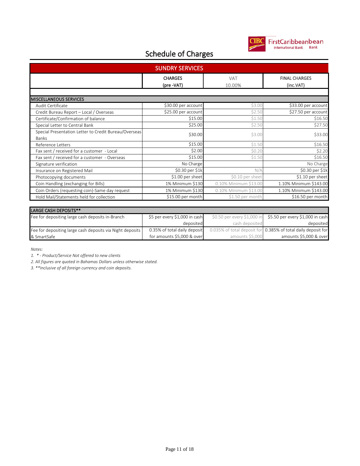

0.385% of total daily deposit for amounts \$5,000 & over

#### Schedule of Charges

|                                                                       | <b>SUNDRY SERVICES</b>        |                             |                                   |
|-----------------------------------------------------------------------|-------------------------------|-----------------------------|-----------------------------------|
|                                                                       | <b>CHARGES</b><br>(pre -VAT)  | VAT<br>10.00%               | <b>FINAL CHARGES</b><br>(inc.VAT) |
|                                                                       |                               |                             |                                   |
| <b>MISCELLANEOUS SERVICES</b><br>Audit Certificate                    | \$30.00 per account           | \$3.00                      | \$33.00 per account               |
|                                                                       | \$25.00 per account           | \$2.50                      | \$27.50 per account               |
| Credit Bureau Report - Local / Overseas                               | \$15.00                       | \$1.50                      | \$16.50                           |
| Certificate/Confirmation of balance                                   |                               |                             |                                   |
| Special Letter to Central Bank                                        | \$25.00                       | \$2.50                      | \$27.50                           |
| Special Presentation Letter to Credit Bureau/Overseas<br><b>Banks</b> | \$30.00                       | \$3.00                      | \$33.00                           |
| <b>Reference Letters</b>                                              | \$15.00                       | \$1.50                      | \$16.50                           |
| Fax sent / received for a customer - Local                            | \$2.00                        | \$0.20                      | \$2.20                            |
| Fax sent / received for a customer - Overseas                         | \$15.00                       | \$1.50                      | \$16.50                           |
| Signature verification                                                | No Charge                     |                             | No Charge                         |
| Insurance on Registered Mail                                          | \$0.30 per \$1k               | N/A                         | \$0.30 per \$1k                   |
| Photocopying documents                                                | \$1.00 per sheet              | \$0.10 per sheet            | \$1.10 per sheet                  |
| Coin Handling (exchanging for Bills)                                  | 1% Minimum \$130              | 0.10% Minimum \$13.00       | 1.10% Minimum \$143.00            |
| Coin Orders (requesting coin)-Same day request                        | 1% Minimum \$130              | 0.10% Minimum \$13.00       | 1.10% Minimum \$143.00            |
| Hold Mail/Statements held for collection                              | \$15.00 per month             | \$1.50 per month            | \$16.50 per month                 |
|                                                                       |                               |                             |                                   |
| LARGE CASH DEPOSITS**                                                 |                               |                             |                                   |
| Fee for depositing large cash deposits in-Branch                      | \$5 per every \$1,000 in cash | \$0.50 per every \$1,000 in | \$5.50 per every \$1,000 in cash  |
|                                                                       | deposited                     | cash deposited              | deposited                         |

0.35% of total daily deposit for amounts \$5,000 & over

0.035% of total deposit for

amounts \$5,000

*Notes:*

& SmartSafe

*1. \* - Product/Service Not offered to new clients*

*2. All figures are quoted in Bahamas Dollars unless otherwise stated.*

*3. \*\*Inclusive of all foreign currency and coin deposits.*

Fee for depositing large cash deposits via Night deposits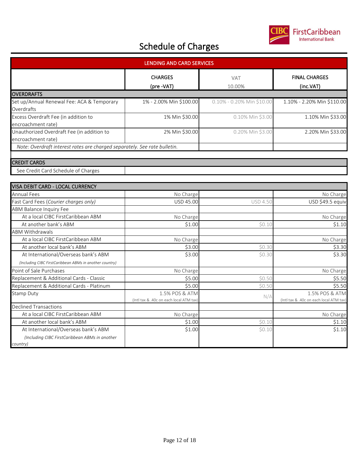

| <b>LENDING AND CARD SERVICES</b>                                          |                                                           |                           |                                                          |  |
|---------------------------------------------------------------------------|-----------------------------------------------------------|---------------------------|----------------------------------------------------------|--|
|                                                                           | <b>CHARGES</b><br>(pre -VAT)                              | VAT<br>10.00%             | <b>FINAL CHARGES</b><br>(inc.VAT)                        |  |
| <b>OVERDRAFTS</b>                                                         |                                                           |                           |                                                          |  |
| Set up/Annual Renewal Fee: ACA & Temporary<br>Overdrafts                  | 1% - 2.00% Min \$100.00                                   | 0.10% - 0.20% Min \$10.00 | 1.10% - 2.20% Min \$110.00                               |  |
| Excess Overdraft Fee (in addition to<br>encroachment rate)                | 1% Min \$30.00                                            | 0.10% Min \$3.00          | 1.10% Min \$33.00                                        |  |
| Unauthorized Overdraft Fee (in addition to<br>encroachment rate)          | 2% Min \$30.00                                            | 0.20% Min \$3.00          | 2.20% Min \$33.00                                        |  |
| Note: Overdraft interest rates are charged separately. See rate bulletin. |                                                           |                           |                                                          |  |
| <b>CREDIT CARDS</b>                                                       |                                                           |                           |                                                          |  |
| See Credit Card Schedule of Charges                                       |                                                           |                           |                                                          |  |
| VISA DEBIT CARD - LOCAL CURRENCY                                          |                                                           |                           |                                                          |  |
| <b>Annual Fees</b>                                                        | No Charge                                                 |                           | No Charge                                                |  |
| Fast Card Fees (Courier charges only)                                     | USD 45.00                                                 | <b>USD 4.50</b>           | USD \$49.5 equiv                                         |  |
| <b>ABM Balance Inquiry Fee</b>                                            |                                                           |                           |                                                          |  |
| At a local CIBC FirstCaribbean ABM                                        | No Charge                                                 |                           | No Charge                                                |  |
| At another bank's ABM                                                     | \$1.00                                                    | \$0.10                    | \$1.10                                                   |  |
| <b>ABM Withdrawals</b>                                                    |                                                           |                           |                                                          |  |
| At a local CIBC FirstCaribbean ABM                                        | No Charge                                                 |                           | No Charge                                                |  |
| At another local bank's ABM                                               | \$3.00                                                    | \$0.30                    | \$3.30                                                   |  |
| At International/Overseas bank's ABM                                      | \$3.00                                                    | \$0.30                    | \$3.30                                                   |  |
| (Including CIBC FirstCaribbean ABMs in another country)                   |                                                           |                           |                                                          |  |
| Point of Sale Purchases                                                   | No Charge                                                 |                           | No Charge                                                |  |
| Replacement & Additional Cards - Classic                                  | \$5.00                                                    | \$0.50                    | \$5.50                                                   |  |
| Replacement & Additional Cards - Platinum                                 | \$5.00                                                    | \$0.50                    | \$5.50                                                   |  |
| Stamp Duty                                                                | 1.5% POS & ATM<br>(Intl tax & .40c on each local ATM tax) | N/A                       | 1.5% POS & ATM<br>(Intl tax & .40c on each local ATM tax |  |
| <b>Declined Transactions</b>                                              |                                                           |                           |                                                          |  |
| At a local CIBC FirstCaribbean ABM                                        | No Charge                                                 |                           | No Charge                                                |  |

| At another local bank's ABM                    | \$1.00 | SO.1   | S1.10  |
|------------------------------------------------|--------|--------|--------|
| At International/Overseas bank's ABM           | \$1.00 | \$0.10 | \$1.10 |
| (Including CIBC FirstCaribbean ABMs in another |        |        |        |
| country)                                       |        |        |        |
|                                                |        |        |        |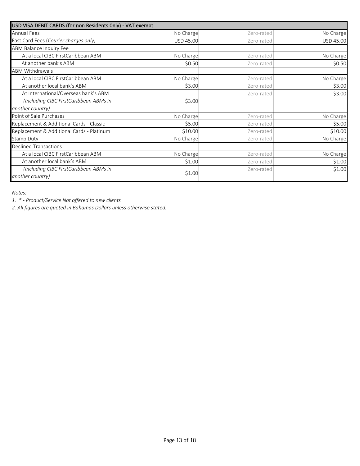| USD VISA DEBIT CARDS (for non Residents Only) - VAT exempt |           |            |           |
|------------------------------------------------------------|-----------|------------|-----------|
| <b>Annual Fees</b>                                         | No Charge | Zero-rated | No Charge |
| Fast Card Fees (Courier charges only)                      | USD 45.00 | Zero-rated | USD 45.00 |
| ABM Balance Inquiry Fee                                    |           |            |           |
| At a local CIBC FirstCaribbean ABM                         | No Charge | Zero-rated | No Charge |
| At another bank's ABM                                      | \$0.50    | Zero-rated | \$0.50    |
| <b>ABM Withdrawals</b>                                     |           |            |           |
| At a local CIBC FirstCaribbean ABM                         | No Charge | Zero-rated | No Charge |
| At another local bank's ABM                                | \$3.00    | Zero-rated | \$3.00    |
| At International/Overseas bank's ABM                       |           | Zero-rated | \$3.00    |
| (Including CIBC FirstCaribbean ABMs in                     | \$3.00    |            |           |
| another country)                                           |           |            |           |
| Point of Sale Purchases                                    | No Charge | Zero-rated | No Charge |
| Replacement & Additional Cards - Classic                   | \$5.00    | Zero-rated | \$5.00    |
| Replacement & Additional Cards - Platinum                  | \$10.00   | Zero-rated | \$10.00   |
| <b>Stamp Duty</b>                                          | No Charge | Zero-rated | No Charge |
| <b>Declined Transactions</b>                               |           |            |           |
| At a local CIBC FirstCaribbean ABM                         | No Charge | Zero-rated | No Charge |
| At another local bank's ABM                                | \$1.00    | Zero-rated | \$1.00    |
| (Including CIBC FirstCaribbean ABMs in                     |           | Zero-rated | \$1.00    |
| another country)                                           | \$1.00    |            |           |

*Notes:*

*1. \* - Product/Service Not offered to new clients*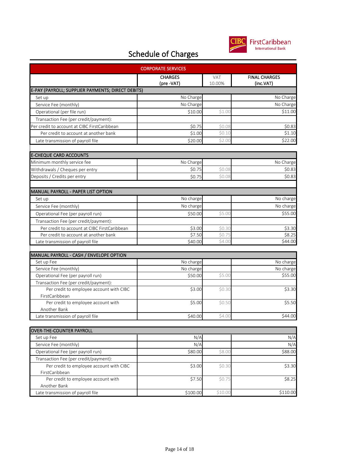

| <b>CORPORATE SERVICES</b>                         |                              |                |                                   |  |
|---------------------------------------------------|------------------------------|----------------|-----------------------------------|--|
|                                                   | <b>CHARGES</b><br>(pre -VAT) | VAT.<br>10.00% | <b>FINAL CHARGES</b><br>(inc.VAT) |  |
| E-PAY (PAYROLL; SUPPLIER PAYMENTS; DIRECT DEBITS) |                              |                |                                   |  |
| Set up                                            | No Charge                    |                | No Charge                         |  |
| Service Fee (monthly)                             | No Charge                    |                | No Charge                         |  |
| Operational (per file run)                        | \$10.00                      | \$1.00         | \$11.00                           |  |
| Transaction Fee (per credit/payment):             |                              |                |                                   |  |
| Per credit to account at CIBC FirstCaribbean      | \$0.75                       | \$0.08         | \$0.83                            |  |
| Per credit to account at another bank             | \$1.00                       | \$0.10         | \$1.10                            |  |
| Late transmission of payroll file                 | \$20.00                      | \$2.00         | \$22.00                           |  |
| <b>E-CHEQUE CARD ACCOUNTS</b>                     |                              |                |                                   |  |
| Minimum monthly service fee                       | No Charge                    |                | No Charge                         |  |
| Withdrawals / Cheques per entry                   | \$0.75                       | \$0.08         | \$0.83                            |  |
| Deposits / Credits per entry                      | \$0.75                       | \$0.08         | \$0.83                            |  |
|                                                   |                              |                |                                   |  |
| MANUAL PAYROLL - PAPER LIST OPTION                |                              |                |                                   |  |
| Set up                                            | No charge                    |                | No charge                         |  |
| Service Fee (monthly)                             | No charge                    |                | No charge                         |  |
| Operational Fee (per payroll run)                 | \$50.00                      | \$5.00         | \$55.00                           |  |
| Transaction Fee (per credit/payment):             |                              |                |                                   |  |
| Per credit to account at CIBC FirstCaribbean      | \$3.00                       | \$0.30         | \$3.30                            |  |
| Per credit to account at another bank             | \$7.50                       | \$0.75         | \$8.25                            |  |
| Late transmission of payroll file                 | \$40.00                      | \$4.00         | \$44.00                           |  |
| MANUAL PAYROLL - CASH / ENVELOPE OPTION           |                              |                |                                   |  |
| Set up Fee                                        | No charge                    |                | No charge                         |  |
| Service Fee (monthly)                             | No charge                    |                | No charge                         |  |
| Operational Fee (per payroll run)                 | \$50.00                      | \$5.00         | \$55.00                           |  |
| Transaction Fee (per credit/payment):             |                              |                |                                   |  |
| Per credit to employee account with CIBC          | \$3.00                       | \$0.30         | \$3.30                            |  |
| FirstCaribbean                                    |                              |                |                                   |  |
| Per credit to employee account with               | \$5.00                       | \$0.50         | \$5.50                            |  |
| Another Bank                                      |                              |                |                                   |  |
| Late transmission of payroll file                 | \$40.00                      | \$4.00         | \$44.00                           |  |
| OVER-THE-COUNTER PAYROLL                          |                              |                |                                   |  |
| Set up Fee                                        | N/A                          |                | N/A                               |  |
| Service Fee (monthly)                             | N/A                          |                | N/A                               |  |
| Operational Fee (per payroll run)                 | \$80.00                      | \$8.00         | \$88.00                           |  |
| Transaction Fee (per credit/payment):             |                              |                |                                   |  |
| Per credit to employee account with CIBC          | \$3.00                       | \$0.30         | \$3.30                            |  |
| FirstCaribbean                                    |                              |                |                                   |  |
| Per credit to employee account with               | \$7.50                       | \$0.75         | \$8.25                            |  |
| Another Bank                                      |                              |                |                                   |  |
| Late transmission of payroll file                 | \$100.00                     | \$10.00        | \$110.00                          |  |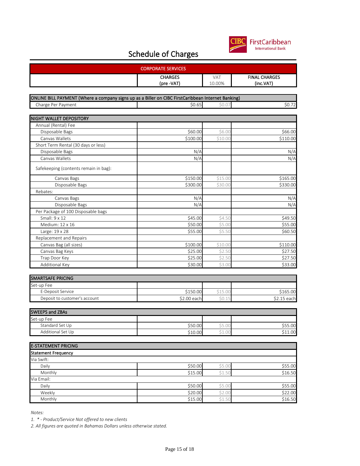

| <b>CORPORATE SERVICES</b>                                                                          |                |            |                      |  |
|----------------------------------------------------------------------------------------------------|----------------|------------|----------------------|--|
|                                                                                                    | <b>CHARGES</b> | <b>VAT</b> | <b>FINAL CHARGES</b> |  |
|                                                                                                    | (pre -VAT)     | 10.00%     | (inc.VAT)            |  |
|                                                                                                    |                |            |                      |  |
| ONLINE BILL PAYMENT (Where a company signs up as a Biller on CIBC FirstCaribbean Internet Banking) |                |            |                      |  |
| Charge Per Payment                                                                                 | \$0.65         | \$0.07     | \$0.72               |  |
|                                                                                                    |                |            |                      |  |
| <b>NIGHT WALLET DEPOSITORY</b>                                                                     |                |            |                      |  |
| Annual (Rental) Fee                                                                                |                |            |                      |  |
| Disposable Bags                                                                                    | \$60.00        | \$6.00     | \$66.00              |  |
| Canvas Wallets                                                                                     | \$100.00       | \$10.00    | \$110.00             |  |
| Short Term Rental (30 days or less)                                                                |                |            |                      |  |
| Disposable Bags                                                                                    | N/A            |            | N/A                  |  |
| Canvas Wallets                                                                                     | N/A            |            | N/A                  |  |
| Safekeeping (contents remain in bag):                                                              |                |            |                      |  |
| Canvas Bags                                                                                        | \$150.00       | \$15.00    | \$165.00             |  |
| Disposable Bags                                                                                    | \$300.00       | \$30.00    | \$330.00             |  |
| Rebates:                                                                                           |                |            |                      |  |
| Canvas Bags                                                                                        | N/A            |            | N/A                  |  |
| Disposable Bags                                                                                    | N/A            |            | N/A                  |  |
| Per Package of 100 Disposable bags                                                                 |                |            |                      |  |
| Small: 9 x 12                                                                                      | \$45.00        | \$4.50     | \$49.50              |  |
| Medium: 12 x 16                                                                                    | \$50.00        | \$5.00     | 555.00               |  |
| Large: 19 x 28                                                                                     | \$55.00        | \$5.50     | \$60.50              |  |
| Replacement and Repairs                                                                            |                |            |                      |  |
| Canvas Bag (all sizes)                                                                             | \$100.00       | \$10.00    | \$110.00             |  |
| Canvas Bag Keys                                                                                    | \$25.00        | \$2.50     | \$27.50              |  |
| Trap Door Key                                                                                      | \$25.00        | \$2.50     | \$27.50              |  |
| Additional Key                                                                                     | \$30.00        | \$3.00     | \$33.00              |  |
| <b>SMARTSAFE PRICING</b>                                                                           |                |            |                      |  |
| Set-up Fee                                                                                         |                |            |                      |  |
| E-Deposit Service                                                                                  | \$150.00       | \$15.00    | \$165.00             |  |
| Deposit to customer's account                                                                      | \$2.00 each    | \$0.15     | \$2.15 each          |  |
|                                                                                                    |                |            |                      |  |
| <b>SWEEPS and ZBAs</b>                                                                             |                |            |                      |  |
| Set-up Fee                                                                                         |                |            |                      |  |
| Standard Set Up                                                                                    | \$50.00        | \$5.00     | \$55.00              |  |
| Additional Set Up                                                                                  | \$10.00        | Ş1.00      | \$11.00              |  |
| <b>E-STATEMENT PRICING</b>                                                                         |                |            |                      |  |
| <b>Statement Frequency</b>                                                                         |                |            |                      |  |
| Via Swift:                                                                                         |                |            |                      |  |
| Daily                                                                                              | \$50.00        | \$5.00     | \$55.00              |  |
| Monthly                                                                                            | \$15.00        | \$1.50     | \$16.50              |  |
| Via Email:                                                                                         |                |            |                      |  |
| Daily                                                                                              | \$50.00        | \$5.00     | \$55.00              |  |
| Weekly                                                                                             | \$20.00        | \$2.00     | \$22.00              |  |
| Monthly                                                                                            | \$15.00        | \$1.50     | \$16.50              |  |

*Notes:*

*1. \* - Product/Service Not offered to new clients*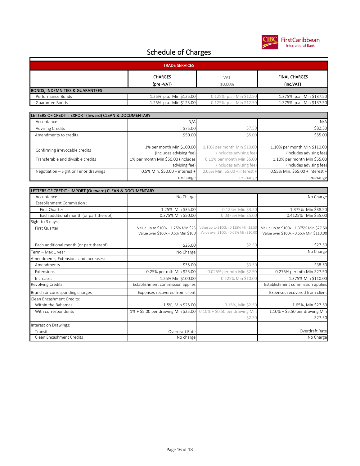

| <b>TRADE SERVICES</b>                      |                         |                            |                          |  |
|--------------------------------------------|-------------------------|----------------------------|--------------------------|--|
|                                            | <b>CHARGES</b>          | <b>VAT</b>                 | <b>FINAL CHARGES</b>     |  |
|                                            | (pre -VAT)              | 10.00%                     | (inc.VAT)                |  |
| <b>BONDS, INDEMNITIES &amp; GUARANTEES</b> |                         |                            |                          |  |
| Performance Bonds                          | 1.25% p.a. Min \$125.00 | $0.125\%$ p.a. Min \$12.50 | 1.375% p.a. Min \$137.50 |  |
| Guarantee Bonds                            | 1.25% p.a. Min \$125.00 | 0.125% p.a. Min \$12.50    | 1.375% p.a. Min \$137.50 |  |

| LETTERS OF CREDIT : EXPORT (Inward) CLEAN & DOCUMENTARY |                                    |                                   |                                 |
|---------------------------------------------------------|------------------------------------|-----------------------------------|---------------------------------|
| Acceptance                                              | N/A                                |                                   | N/A                             |
| <b>Advising Credits</b>                                 | \$75.00                            | \$7.50                            | \$82.50                         |
| Amendments to credits                                   | \$50.00                            | \$5.00                            | \$55.00                         |
|                                                         |                                    |                                   |                                 |
| Confirming irrevocable credits                          | 1% per month Min \$100.00          | 0.10% per month Min \$10.00       | 1.10% per month Min \$110.00    |
|                                                         | (includes advising fee)            | (includes advising fee)           | (includes advising fee)         |
| Transferable and divisible credits                      | 1% per month Min \$50.00 (includes | 0.10% per month Min \$5.00        | 1.10% per month Min \$55.00     |
|                                                         | advising fee)                      | (includes advising fee)           | (includes advising fee)         |
| Negotiation - Sight or Tenor drawings                   | $0.5\%$ Min. \$50.00 + interest +  | $0.05\%$ Min. \$5.00 + interest + | 0.55% Min. \$55.00 + interest + |
|                                                         | exchange                           | exchange                          | exchange                        |

| LETTERS OF CREDIT : IMPORT (Outward) CLEAN & DOCUMENTARY |                                     |                                        |                                         |
|----------------------------------------------------------|-------------------------------------|----------------------------------------|-----------------------------------------|
| Acceptance                                               | No Charge                           |                                        | No Charge                               |
| Establishment Commission:                                |                                     |                                        |                                         |
| First Quarter                                            | 1.25% Min \$35.00                   | 0.125% Min \$3.50                      | 1.375% Min \$38.50                      |
| Each additional month (or part thereof)                  | 0.375% Min \$50.00                  | 0.0375% Min \$5.00                     | 0.4125% Min \$55.00                     |
| Sight to 3 days:                                         |                                     |                                        |                                         |
| First Quarter                                            | Value up to \$100k - 1.25% Min \$25 | Value up to \$100k - 0.125% Min \$2.50 | Value up to \$100k - 1.375% Min \$27.50 |
|                                                          | Value over \$100k - 0.5% Min \$100  | Value over \$100k - 0.05% Min \$10.00  | Value over \$100k - 0.55% Min \$110.00  |
| Each additional month (or part thereof)                  | \$25.00                             | \$2.50                                 | \$27.50                                 |
| Term - Max 1 year                                        | No Charge                           |                                        | No Charge                               |
| Amendments, Extensions and Increases:                    |                                     |                                        |                                         |
| Amendments                                               | \$35.00                             | \$3.50                                 | \$38.50                                 |
| <b>Extensions</b>                                        | 0.25% per mth Min \$25.00           | 0.025% per mth Min \$2.50              | 0.275% per mth Min \$27.50              |
| Increases                                                | 1.25% Min \$100.00                  | 0.125% Min \$10.00                     | 1.375% Min \$110.00                     |
| <b>Revolving Credits</b>                                 | Establishment commission applies    |                                        | Establishment commission applies        |
| Branch or corresponding charges                          | Expenses recovered from client      |                                        | Expenses recovered from client          |
| Clean Encashment Credits:                                |                                     |                                        |                                         |
| Within the Bahamas                                       | 1.5%, Min \$25.00                   | 0.15%, Min \$2.50                      | 1.65%, Min \$27.50                      |
| With correspondents                                      | 1% + \$5.00 per drawing Min \$25.00 | $0.10\% + $0.50$ per drawing Min       | $1.10\% + $5.50$ per drawing Min        |
|                                                          |                                     | \$2.50                                 | \$27.50                                 |
| Interest on Drawings:                                    |                                     |                                        |                                         |
| Transit                                                  | Overdraft Rate                      |                                        | Overdraft Rate                          |
| Clean Encashment Credits                                 | No charge                           |                                        | No Charge                               |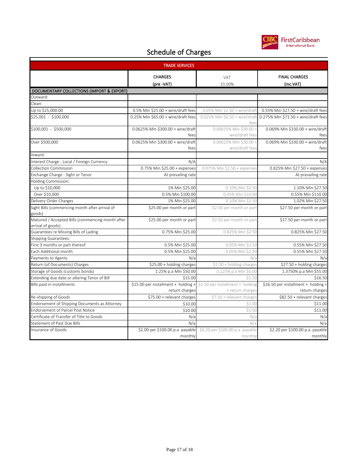

| <b>TRADE SERVICES</b>                                                 |                                                                                        |                                             |                                                       |
|-----------------------------------------------------------------------|----------------------------------------------------------------------------------------|---------------------------------------------|-------------------------------------------------------|
|                                                                       | <b>CHARGES</b>                                                                         | <b>VAT</b>                                  | <b>FINAL CHARGES</b>                                  |
|                                                                       | (pre -VAT)                                                                             | 10.00%                                      | (inc.VAT)                                             |
| DOCUMENTARY COLLECTIONS (IMPORT & EXPORT)                             |                                                                                        |                                             |                                                       |
| Outward:                                                              |                                                                                        |                                             |                                                       |
| Clean:                                                                |                                                                                        |                                             |                                                       |
| Up to \$25,000.00                                                     | $0.5\%$ Min \$25.00 + wire/draft fees                                                  | 0.05% Min \$2.50 + wire/draft               | 0.55% Min \$27.50 + wire/draft fees                   |
| \$25,001 - \$100,000                                                  | 0.25% Min \$65.00 + wire/draft fees                                                    | 0.025% Min \$6.50 + wire/draft<br>tees      | 0.275% Min \$71.50 + wire/draft fees                  |
| \$100,001 - \$500,000                                                 | 0.0625% Min \$300.00 + wire/draft<br>fees                                              | 0.00625% Min \$30.00 +<br>wire/draft fees   | 0.069% Min \$330.00 + wire/draft<br>fees              |
| Over \$500,000                                                        | 0.0625% Min \$300.00 + wire/draft<br>fees                                              | 0.00625% Min \$30.00 +<br>wire/draft fees   | 0.069% Min \$330.00 + wire/draft<br>fees              |
| Inward:                                                               |                                                                                        |                                             |                                                       |
| Interest Charge - Local / Foreign Currency                            | N/A                                                                                    |                                             | N/A                                                   |
| Collection Commission                                                 | 0.75% Min \$25.00 + expenses                                                           | 0.075% Min \$2.50 + expenses                | 0.825% Min \$27.50 + expenses                         |
| Exchange Charge - Sight or Tenor                                      | At prevailing rate                                                                     |                                             | At prevailing rate                                    |
| Holding Commission:                                                   |                                                                                        |                                             |                                                       |
| Up to \$10,000                                                        | 1% Min \$25.00                                                                         | 0.10% Min \$2.50                            | 1.10% Min \$27.50                                     |
| Over \$10,000                                                         | 0.5% Min \$100.00                                                                      | 0.05% Min \$10.00                           | 0.55% Min \$110.00                                    |
| Delivery Order Charges                                                | 1% Min \$25.00                                                                         | 0.10% Min \$2.50                            | 1.02% Min \$27.50                                     |
| Sight Bills (commencing month after arrival of<br>goods)              | \$25.00 per month or part                                                              | \$2.50 per month or part                    | \$27.50 per month or part                             |
| Matured / Accepted Bills (commencing month after<br>arrival of goods) | \$25.00 per month or part                                                              | \$2.50 per month or part                    | \$27.50 per month or part                             |
| Guarantees re Missing Bills of Lading                                 | 0.75% Min \$25.00                                                                      | 0.825% Min \$2.50                           | 0.825% Min \$27.50                                    |
| Shipping Guarantees:                                                  |                                                                                        |                                             |                                                       |
| First 3 months or part thereof                                        | 0.5% Min \$25.00                                                                       | 0.05% Min \$2.50                            | 0.55% Min \$27.50                                     |
| Each Additional month                                                 | 0.5% Min \$25.00                                                                       | 0.05% Min \$2.50                            | 0.55% Min \$27.50                                     |
| Payments to Agents                                                    | N/a                                                                                    | N/a                                         | $N/\tilde{c}$                                         |
| Return (of Documents) Charges                                         | \$25.00 + holding charges                                                              | \$2.50 + holding charges                    | \$27.50 + holding charges                             |
| Storage of Goods (customs bonds)                                      | 1.25% p.a Min \$50.00                                                                  | 0.125% p.a Min \$5.00                       | 1.3750% p.a Min \$55.00                               |
| Extending due date or altering Tenor of Bill                          | \$15.00                                                                                | \$1.50                                      | \$16.50                                               |
| Bills paid in installments                                            | \$15.00 per installment + holding + \$1.50 per installment + holding<br>return charges | + return charges                            | \$16.50 per installment + holding +<br>return charges |
| Re-shipping of Goods                                                  | \$75.00 + relevant charges                                                             | \$7.50 + relevant charges                   | \$82.50 + relevant charges                            |
| Endorsement of Shipping Documents as Attorney                         | \$10.00                                                                                | \$1.00                                      | \$11.00                                               |
| <b>Endorsement of Parcel Post Notice</b>                              | \$10.00                                                                                | \$1.00                                      | \$11.00                                               |
| Certificate of Transfer of Title to Goods                             | N/a                                                                                    | N/a                                         | N/a                                                   |
| Statement of Past Due Bills                                           | N/a                                                                                    | N/a                                         | N/a                                                   |
| Insurance of Goods                                                    | \$2.00 per \$100.00 p.a. payable<br>monthly                                            | \$0.20 per \$100.00 p.a. payable<br>monthly | \$2.20 per \$100.00 p.a. payable<br>monthly           |